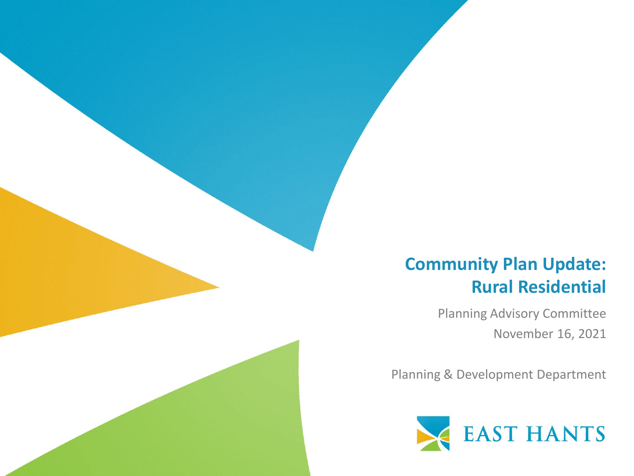#### **Community Plan Update: Rural Residential**

Planning Advisory Committee November 16, 2021

Planning & Development Department

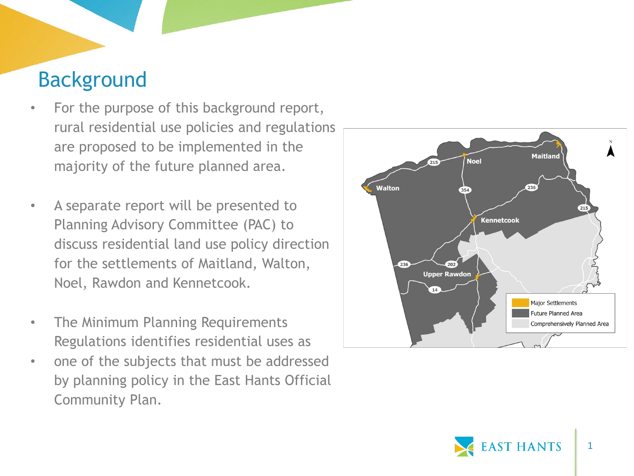### Background

- For the purpose of this background report, rural residential use policies and regulations are proposed to be implemented in the majority of the future planned area.
- A separate report will be presented to Planning Advisory Committee (PAC) to discuss residential land use policy direction for the settlements of Maitland, Walton, Noel, Rawdon and Kennetcook.
- The Minimum Planning Requirements Regulations identifies residential uses as
- one of the subjects that must be addressed by planning policy in the East Hants Official Community Plan.



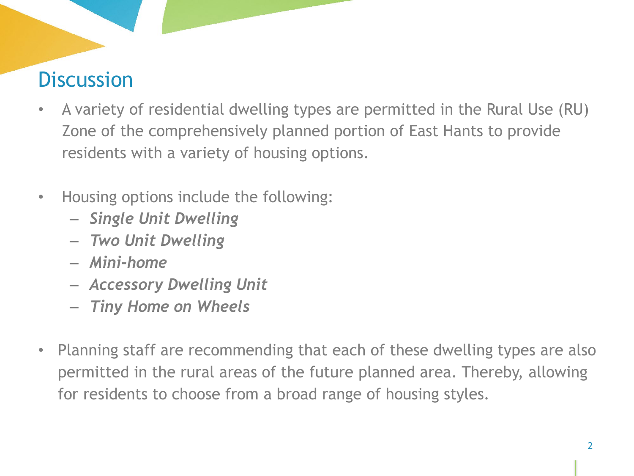# **Discussion**

- A variety of residential dwelling types are permitted in the Rural Use (RU) Zone of the comprehensively planned portion of East Hants to provide residents with a variety of housing options.
- Housing options include the following:
	- *Single Unit Dwelling*
	- *Two Unit Dwelling*
	- *Mini-home*
	- *Accessory Dwelling Unit*
	- *Tiny Home on Wheels*
- Planning staff are recommending that each of these dwelling types are also permitted in the rural areas of the future planned area. Thereby, allowing for residents to choose from a broad range of housing styles*.*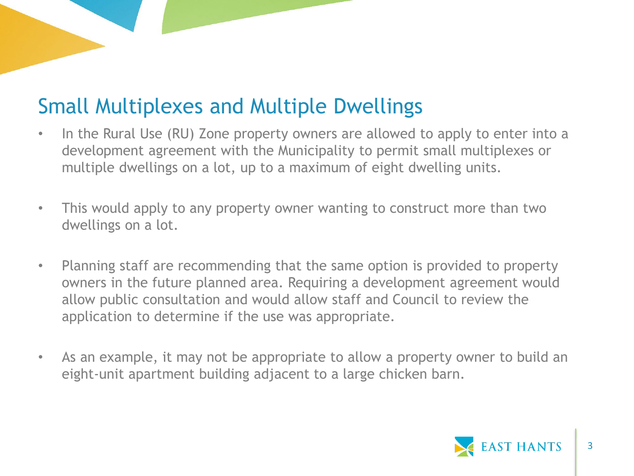## Small Multiplexes and Multiple Dwellings

- In the Rural Use (RU) Zone property owners are allowed to apply to enter into a development agreement with the Municipality to permit small multiplexes or multiple dwellings on a lot, up to a maximum of eight dwelling units.
- This would apply to any property owner wanting to construct more than two dwellings on a lot.
- Planning staff are recommending that the same option is provided to property owners in the future planned area. Requiring a development agreement would allow public consultation and would allow staff and Council to review the application to determine if the use was appropriate.
- As an example, it may not be appropriate to allow a property owner to build an eight-unit apartment building adjacent to a large chicken barn.

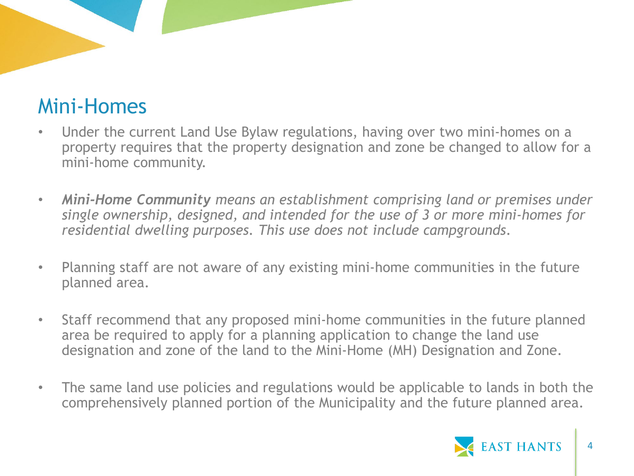### Mini-Homes

- Under the current Land Use Bylaw regulations, having over two mini-homes on a property requires that the property designation and zone be changed to allow for a mini-home community.
- *Mini-Home Community means an establishment comprising land or premises under single ownership, designed, and intended for the use of 3 or more mini-homes for residential dwelling purposes. This use does not include campgrounds*.
- Planning staff are not aware of any existing mini-home communities in the future planned area.
- Staff recommend that any proposed mini-home communities in the future planned area be required to apply for a planning application to change the land use designation and zone of the land to the Mini-Home (MH) Designation and Zone.
- The same land use policies and regulations would be applicable to lands in both the comprehensively planned portion of the Municipality and the future planned area.

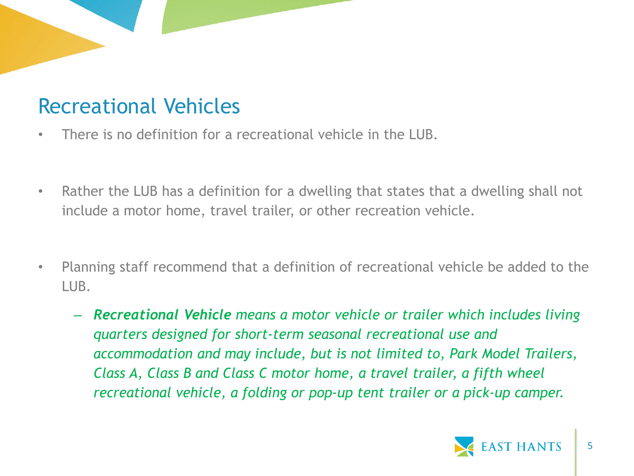### Recreational Vehicles

- There is no definition for a recreational vehicle in the LUB.
- Rather the LUB has a definition for a dwelling that states that a dwelling shall not include a motor home, travel trailer, or other recreation vehicle.
- Planning staff recommend that a definition of recreational vehicle be added to the LUB.
	- *Recreational Vehicle means a motor vehicle or trailer which includes living quarters designed for short-term seasonal recreational use and accommodation and may include, but is not limited to, Park Model Trailers, Class A, Class B and Class C motor home, a travel trailer, a fifth wheel recreational vehicle, a folding or pop-up tent trailer or a pick-up camper.*

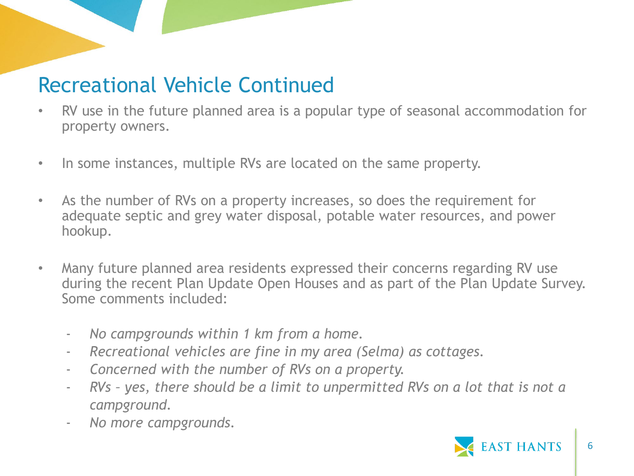### Recreational Vehicle Continued

- RV use in the future planned area is a popular type of seasonal accommodation for property owners.
- In some instances, multiple RVs are located on the same property.
- As the number of RVs on a property increases, so does the requirement for adequate septic and grey water disposal, potable water resources, and power hookup.
- Many future planned area residents expressed their concerns regarding RV use during the recent Plan Update Open Houses and as part of the Plan Update Survey. Some comments included:
	- *No campgrounds within 1 km from a home.*
	- *Recreational vehicles are fine in my area (Selma) as cottages.*
	- *Concerned with the number of RVs on a property.*
	- *RVs – yes, there should be a limit to unpermitted RVs on a lot that is not a campground.*
	- *No more campgrounds.*

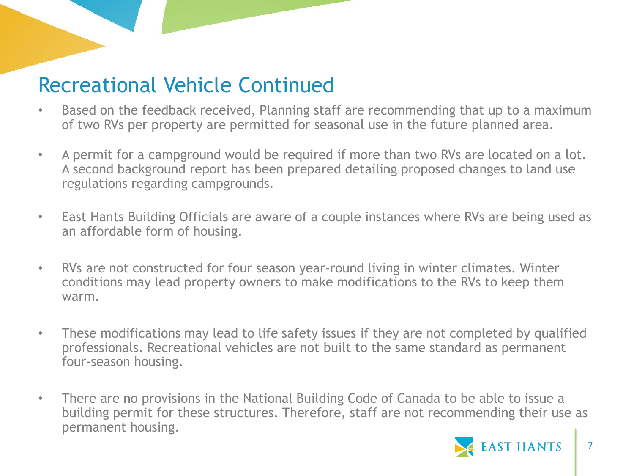#### Recreational Vehicle Continued

- Based on the feedback received, Planning staff are recommending that up to a maximum of two RVs per property are permitted for seasonal use in the future planned area.
- A permit for a campground would be required if more than two RVs are located on a lot. A second background report has been prepared detailing proposed changes to land use regulations regarding campgrounds.
- East Hants Building Officials are aware of a couple instances where RVs are being used as an affordable form of housing.
- RVs are not constructed for four season year-round living in winter climates. Winter conditions may lead property owners to make modifications to the RVs to keep them warm.
- These modifications may lead to life safety issues if they are not completed by qualified professionals. Recreational vehicles are not built to the same standard as permanent four-season housing.
- There are no provisions in the National Building Code of Canada to be able to issue a building permit for these structures. Therefore, staff are not recommending their use as permanent housing.

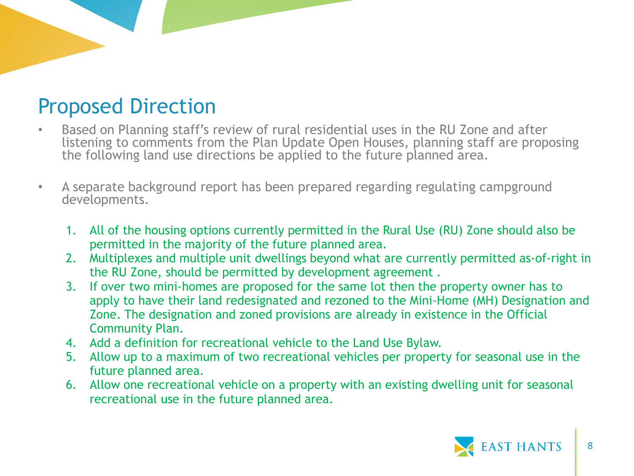### Proposed Direction

- Based on Planning staff's review of rural residential uses in the RU Zone and after listening to comments from the Plan Update Open Houses, planning staff are proposing the following land use directions be applied to the future planned area.
- A separate background report has been prepared regarding regulating campground developments.
	- 1. All of the housing options currently permitted in the Rural Use (RU) Zone should also be permitted in the majority of the future planned area.
	- 2. Multiplexes and multiple unit dwellings beyond what are currently permitted as-of-right in the RU Zone, should be permitted by development agreement .
	- 3. If over two mini-homes are proposed for the same lot then the property owner has to apply to have their land redesignated and rezoned to the Mini-Home (MH) Designation and Zone. The designation and zoned provisions are already in existence in the Official Community Plan.
	- 4. Add a definition for recreational vehicle to the Land Use Bylaw.
	- 5. Allow up to a maximum of two recreational vehicles per property for seasonal use in the future planned area.
	- 6. Allow one recreational vehicle on a property with an existing dwelling unit for seasonal recreational use in the future planned area.